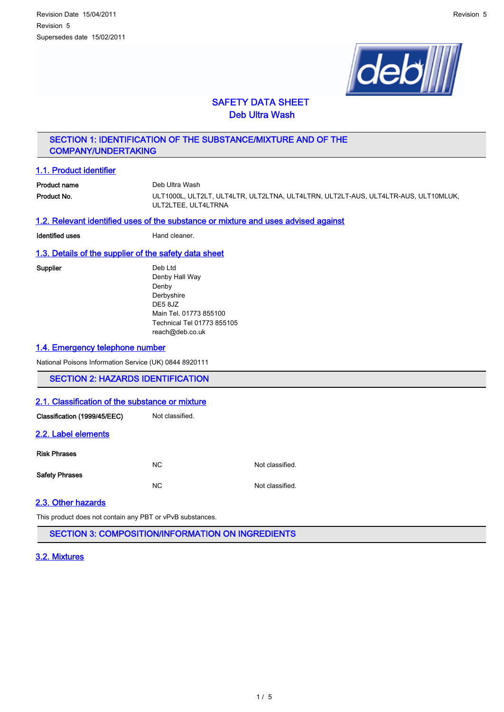

# SAFETY DATA SHEET Deb Ultra Wash

# SECTION 1: IDENTIFICATION OF THE SUBSTANCE/MIXTURE AND OF THE COMPANY/UNDERTAKING

### 1.1. Product identifier

**Product name** Deb Ultra Wash Product No. **Exercise CONTENT** ULT1000L, ULT2LT, ULT4LTR, ULT2LTNA, ULT4LTRN, ULT2LT-AUS, ULT4LTR-AUS, ULT10MLUK, ULT2LTEE, ULT4LTRNA

#### 1.2. Relevant identified uses of the substance or mixture and uses advised against

**Identified uses Hand cleaner.** 

### 1.3. Details of the supplier of the safety data sheet

Supplier Deb Ltd Denby Hall Way Denby Derbyshire DE5 8JZ Main Tel. 01773 855100 Technical Tel 01773 855105 reach@deb.co.uk

### 1.4. Emergency telephone number

National Poisons Information Service (UK) 0844 8920111

# SECTION 2: HAZARDS IDENTIFICATION

#### 2.1. Classification of the substance or mixture

Classification (1999/45/EEC) Not classified.

#### 2.2. Label elements

#### Risk Phrases

| <b>Safety Phrases</b> | N <sub>C</sub> | Not classified. |
|-----------------------|----------------|-----------------|
|                       | N <sub>C</sub> | Not classified. |

# 2.3. Other hazards

This product does not contain any PBT or vPvB substances.

SECTION 3: COMPOSITION/INFORMATION ON INGREDIENTS

# 3.2. Mixtures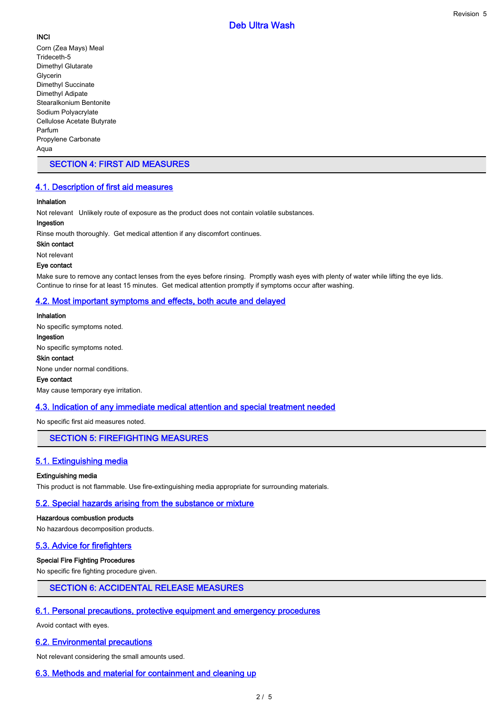# **INCI**

Corn (Zea Mays) Meal Trideceth-5 Dimethyl Glutarate Glycerin Dimethyl Succinate Dimethyl Adipate Stearalkonium Bentonite Sodium Polyacrylate Cellulose Acetate Butyrate Parfum Propylene Carbonate Aqua

# SECTION 4: FIRST AID MEASURES

# 4.1. Description of first aid measures

# Inhalation

Not relevant Unlikely route of exposure as the product does not contain volatile substances.

# Ingestion

Rinse mouth thoroughly. Get medical attention if any discomfort continues.

Skin contact

Not relevant

# Eye contact

Make sure to remove any contact lenses from the eyes before rinsing. Promptly wash eyes with plenty of water while lifting the eye lids. Continue to rinse for at least 15 minutes. Get medical attention promptly if symptoms occur after washing.

# 4.2. Most important symptoms and effects, both acute and delayed

Inhalation No specific symptoms noted. Ingestion No specific symptoms noted. Skin contact None under normal conditions. Eye contact May cause temporary eye irritation.

# 4.3. Indication of any immediate medical attention and special treatment needed

No specific first aid measures noted.

# SECTION 5: FIREFIGHTING MEASURES

# 5.1. Extinguishing media

# Extinguishing media

This product is not flammable. Use fire-extinguishing media appropriate for surrounding materials.

# 5.2. Special hazards arising from the substance or mixture

# Hazardous combustion products

No hazardous decomposition products.

# 5.3. Advice for firefighters

# Special Fire Fighting Procedures

No specific fire fighting procedure given.

# SECTION 6: ACCIDENTAL RELEASE MEASURES

# 6.1. Personal precautions, protective equipment and emergency procedures

Avoid contact with eyes.

# 6.2. Environmental precautions

Not relevant considering the small amounts used.

# 6.3. Methods and material for containment and cleaning up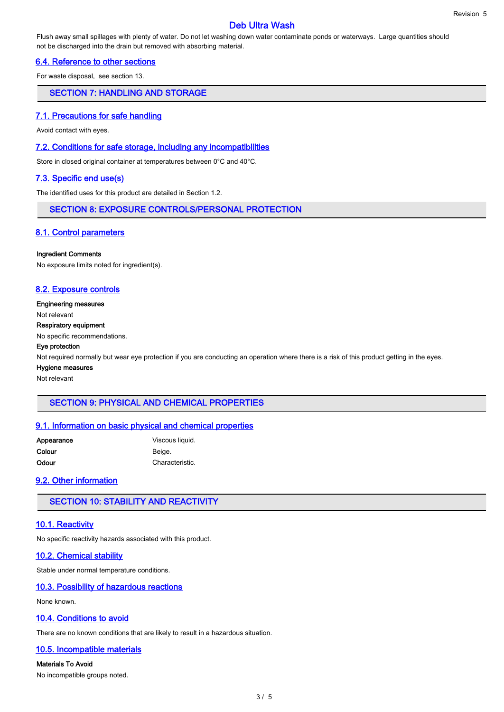# Deb Ultra Wash

Flush away small spillages with plenty of water. Do not let washing down water contaminate ponds or waterways. Large quantities should not be discharged into the drain but removed with absorbing material.

# 6.4. Reference to other sections

For waste disposal, see section 13.

### SECTION 7: HANDLING AND STORAGE

#### 7.1. Precautions for safe handling

Avoid contact with eyes.

#### 7.2. Conditions for safe storage, including any incompatibilities

Store in closed original container at temperatures between 0°C and 40°C.

# 7.3. Specific end use(s)

The identified uses for this product are detailed in Section 1.2.

#### SECTION 8: EXPOSURE CONTROLS/PERSONAL PROTECTION

# 8.1. Control parameters

#### Ingredient Comments

No exposure limits noted for ingredient(s).

### 8.2. Exposure controls

#### Engineering measures

Not relevant

#### Respiratory equipment

No specific recommendations.

#### Eye protection

Not required normally but wear eye protection if you are conducting an operation where there is a risk of this product getting in the eyes.

Hygiene measures

Not relevant

# SECTION 9: PHYSICAL AND CHEMICAL PROPERTIES

#### 9.1. Information on basic physical and chemical properties

| Appearance | Viscous liquid. |
|------------|-----------------|
| Colour     | Beige.          |
| Odour      | Characteristic. |

### 9.2. Other information

# SECTION 10: STABILITY AND REACTIVITY

#### 10.1. Reactivity

No specific reactivity hazards associated with this product.

#### 10.2. Chemical stability

Stable under normal temperature conditions.

#### 10.3. Possibility of hazardous reactions

None known.

# 10.4. Conditions to avoid

There are no known conditions that are likely to result in a hazardous situation.

#### 10.5. Incompatible materials

Materials To Avoid No incompatible groups noted.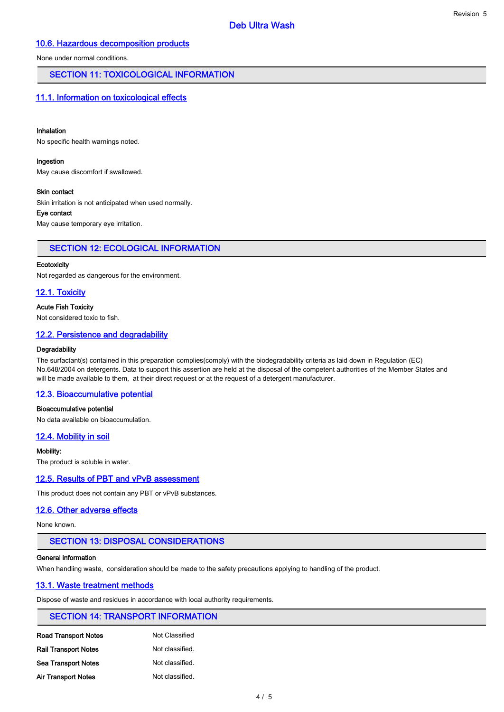### 10.6. Hazardous decomposition products

None under normal conditions.

### SECTION 11: TOXICOLOGICAL INFORMATION

### 11.1. Information on toxicological effects

#### Inhalation

No specific health warnings noted.

#### Ingestion

May cause discomfort if swallowed.

#### Skin contact

Skin irritation is not anticipated when used normally.

#### Eye contact

May cause temporary eye irritation.

### SECTION 12: ECOLOGICAL INFORMATION

#### **Ecotoxicity**

Not regarded as dangerous for the environment.

### 12.1. Toxicity

#### Acute Fish Toxicity

Not considered toxic to fish.

#### 12.2. Persistence and degradability

#### **Degradability**

The surfactant(s) contained in this preparation complies(comply) with the biodegradability criteria as laid down in Regulation (EC) No.648/2004 on detergents. Data to support this assertion are held at the disposal of the competent authorities of the Member States and will be made available to them, at their direct request or at the request of a detergent manufacturer.

Deb Ultra Wash

### 12.3. Bioaccumulative potential

#### Bioaccumulative potential

No data available on bioaccumulation.

#### 12.4. Mobility in soil

Mobility:

The product is soluble in water.

#### 12.5. Results of PBT and vPvB assessment

This product does not contain any PBT or vPvB substances.

#### 12.6. Other adverse effects

None known.

#### SECTION 13: DISPOSAL CONSIDERATIONS

#### General information

When handling waste, consideration should be made to the safety precautions applying to handling of the product.

#### 13.1. Waste treatment methods

Dispose of waste and residues in accordance with local authority requirements.

# SECTION 14: TRANSPORT INFORMATION

| <b>Road Transport Notes</b> | Not Classified  |
|-----------------------------|-----------------|
| <b>Rail Transport Notes</b> | Not classified. |
| <b>Sea Transport Notes</b>  | Not classified. |
| <b>Air Transport Notes</b>  | Not classified. |